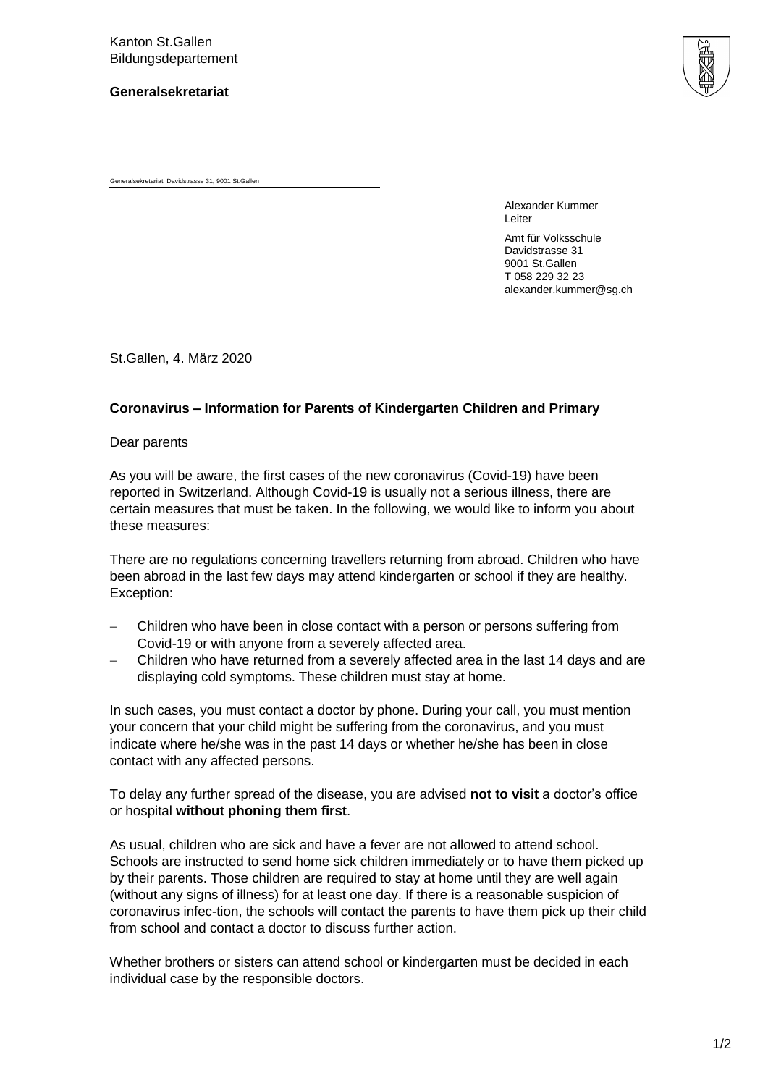**Generalsekretariat**



Generalsekretariat, Davidstrasse 31, 9001 St.Gallen

Alexander Kummer Leiter

Amt für Volksschule Davidstrasse 31 9001 St.Gallen T 058 229 32 23 alexander.kummer@sg.ch

St.Gallen, 4. März 2020

## **Coronavirus – Information for Parents of Kindergarten Children and Primary**

Dear parents

As you will be aware, the first cases of the new coronavirus (Covid-19) have been reported in Switzerland. Although Covid-19 is usually not a serious illness, there are certain measures that must be taken. In the following, we would like to inform you about these measures:

There are no regulations concerning travellers returning from abroad. Children who have been abroad in the last few days may attend kindergarten or school if they are healthy. Exception:

- Children who have been in close contact with a person or persons suffering from Covid-19 or with anyone from a severely affected area.
- Children who have returned from a severely affected area in the last 14 days and are displaying cold symptoms. These children must stay at home.

In such cases, you must contact a doctor by phone. During your call, you must mention your concern that your child might be suffering from the coronavirus, and you must indicate where he/she was in the past 14 days or whether he/she has been in close contact with any affected persons.

To delay any further spread of the disease, you are advised **not to visit** a doctor's office or hospital **without phoning them first**.

As usual, children who are sick and have a fever are not allowed to attend school. Schools are instructed to send home sick children immediately or to have them picked up by their parents. Those children are required to stay at home until they are well again (without any signs of illness) for at least one day. If there is a reasonable suspicion of coronavirus infec-tion, the schools will contact the parents to have them pick up their child from school and contact a doctor to discuss further action.

Whether brothers or sisters can attend school or kindergarten must be decided in each individual case by the responsible doctors.